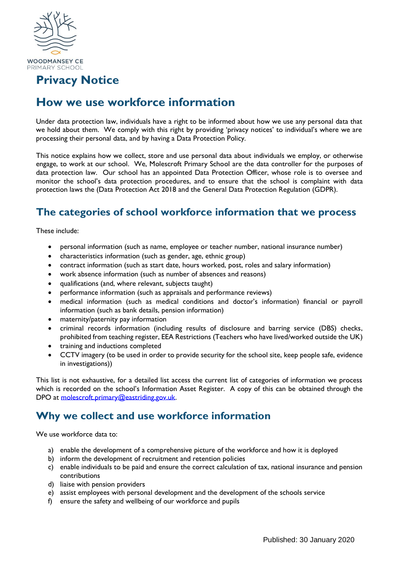

## **Privacy Notice**

# **How we use workforce information**

Under data protection law, individuals have a right to be informed about how we use any personal data that we hold about them. We comply with this right by providing 'privacy notices' to individual's where we are processing their personal data, and by having a Data Protection Policy.

This notice explains how we collect, store and use personal data about individuals we employ, or otherwise engage, to work at our school. We, Molescroft Primary School are the data controller for the purposes of data protection law. Our school has an appointed Data Protection Officer, whose role is to oversee and monitor the school's data protection procedures, and to ensure that the school is complaint with data protection laws the (Data Protection Act 2018 and the General Data Protection Regulation (GDPR).

### **The categories of school workforce information that we process**

These include:

- personal information (such as name, employee or teacher number, national insurance number)
- characteristics information (such as gender, age, ethnic group)
- contract information (such as start date, hours worked, post, roles and salary information)
- work absence information (such as number of absences and reasons)
- qualifications (and, where relevant, subjects taught)
- performance information (such as appraisals and performance reviews)
- medical information (such as medical conditions and doctor's information) financial or payroll information (such as bank details, pension information)
- maternity/paternity pay information
- criminal records information (including results of disclosure and barring service (DBS) checks, prohibited from teaching register, EEA Restrictions (Teachers who have lived/worked outside the UK)
- training and inductions completed
- CCTV imagery (to be used in order to provide security for the school site, keep people safe, evidence in investigations))

This list is not exhaustive, for a detailed list access the current list of categories of information we process which is recorded on the school's Information Asset Register. A copy of this can be obtained through the DPO at [molescroft.primary@eastriding.gov.uk.](mailto:molescroft.primary@eastriding.gov.uk)

#### **Why we collect and use workforce information**

We use workforce data to:

- a) enable the development of a comprehensive picture of the workforce and how it is deployed
- b) inform the development of recruitment and retention policies
- c) enable individuals to be paid and ensure the correct calculation of tax, national insurance and pension contributions
- d) liaise with pension providers
- e) assist employees with personal development and the development of the schools service
- f) ensure the safety and wellbeing of our workforce and pupils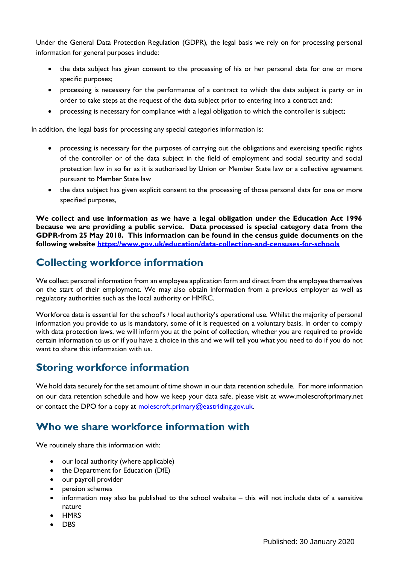Under the General Data Protection Regulation (GDPR), the legal basis we rely on for processing personal information for general purposes include:

- the data subject has given consent to the processing of his or her personal data for one or more specific purposes;
- processing is necessary for the performance of a contract to which the data subject is party or in order to take steps at the request of the data subject prior to entering into a contract and;
- processing is necessary for compliance with a legal obligation to which the controller is subject;

In addition, the legal basis for processing any special categories information is:

- processing is necessary for the purposes of carrying out the obligations and exercising specific rights of the controller or of the data subject in the field of employment and social security and social protection law in so far as it is authorised by Union or Member State law or a collective agreement pursuant to Member State law
- the data subject has given explicit consent to the processing of those personal data for one or more specified purposes,

**We collect and use information as we have a legal obligation under the Education Act 1996 because we are providing a public service. Data processed is special category data from the GDPR-from 25 May 2018. This information can be found in the census guide documents on the following website<https://www.gov.uk/education/data-collection-and-censuses-for-schools>**

## **Collecting workforce information**

We collect personal information from an employee application form and direct from the employee themselves on the start of their employment. We may also obtain information from a previous employer as well as regulatory authorities such as the local authority or HMRC.

Workforce data is essential for the school's / local authority's operational use. Whilst the majority of personal information you provide to us is mandatory, some of it is requested on a voluntary basis. In order to comply with data protection laws, we will inform you at the point of collection, whether you are required to provide certain information to us or if you have a choice in this and we will tell you what you need to do if you do not want to share this information with us.

## **Storing workforce information**

We hold data securely for the set amount of time shown in our data retention schedule. For more information on our data retention schedule and how we keep your data safe, please visit at www.molescroftprimary.net or contact the DPO for a copy at [molescroft.primary@eastriding.gov.uk.](mailto:molescroft.primary@eastriding.gov.uk)

#### **Who we share workforce information with**

We routinely share this information with:

- our local authority (where applicable)
- the Department for Education (DfE)
- our payroll provider
- pension schemes
- information may also be published to the school website this will not include data of a sensitive nature
- HMRS
- DBS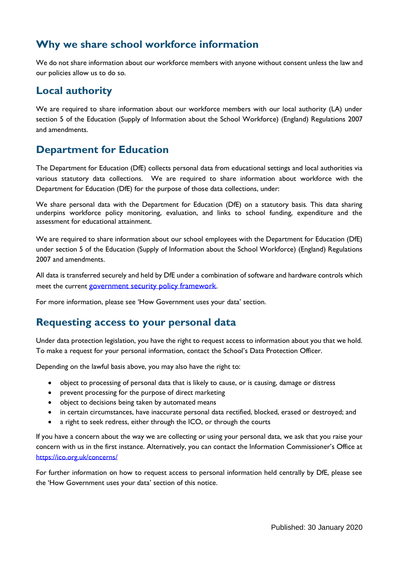## **Why we share school workforce information**

We do not share information about our workforce members with anyone without consent unless the law and our policies allow us to do so.

### **Local authority**

We are required to share information about our workforce members with our local authority (LA) under section 5 of the Education (Supply of Information about the School Workforce) (England) Regulations 2007 and amendments.

## **Department for Education**

The Department for Education (DfE) collects personal data from educational settings and local authorities via various statutory data collections. We are required to share information about workforce with the Department for Education (DfE) for the purpose of those data collections, under:

We share personal data with the Department for Education (DfE) on a statutory basis. This data sharing underpins workforce policy monitoring, evaluation, and links to school funding, expenditure and the assessment for educational attainment.

We are required to share information about our school employees with the Department for Education (DfE) under section 5 of the Education (Supply of Information about the School Workforce) (England) Regulations 2007 and amendments.

All data is transferred securely and held by DfE under a combination of software and hardware controls which meet the current [government security policy framework](https://www.gov.uk/government/publications/security-policy-framework).

For more information, please see 'How Government uses your data' section.

#### **Requesting access to your personal data**

Under data protection legislation, you have the right to request access to information about you that we hold. To make a request for your personal information, contact the School's Data Protection Officer.

Depending on the lawful basis above, you may also have the right to:

- object to processing of personal data that is likely to cause, or is causing, damage or distress
- prevent processing for the purpose of direct marketing
- object to decisions being taken by automated means
- in certain circumstances, have inaccurate personal data rectified, blocked, erased or destroyed; and
- a right to seek redress, either through the ICO, or through the courts

If you have a concern about the way we are collecting or using your personal data, we ask that you raise your concern with us in the first instance. Alternatively, you can contact the Information Commissioner's Office at <https://ico.org.uk/concerns/>

For further information on how to request access to personal information held centrally by DfE, please see the 'How Government uses your data' section of this notice.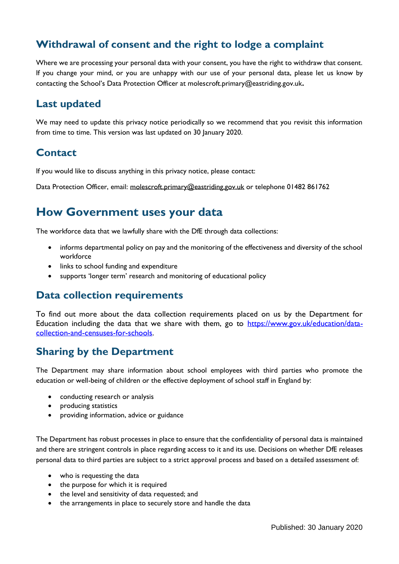## **Withdrawal of consent and the right to lodge a complaint**

Where we are processing your personal data with your consent, you have the right to withdraw that consent. If you change your mind, or you are unhappy with our use of your personal data, please let us know by contacting the School's Data Protection Officer at molescroft.primary@eastriding.gov.uk**.**

#### **Last updated**

We may need to update this privacy notice periodically so we recommend that you revisit this information from time to time. This version was last updated on 30 January 2020.

### **Contact**

If you would like to discuss anything in this privacy notice, please contact:

Data Protection Officer, email: [molescroft.primary@eastriding.gov.uk](mailto:molescroft.primary@eastriding.gov.uk) or telephone 01482 861762

# **How Government uses your data**

The workforce data that we lawfully share with the DfE through data collections:

- informs departmental policy on pay and the monitoring of the effectiveness and diversity of the school workforce
- links to school funding and expenditure
- supports 'longer term' research and monitoring of educational policy

#### **Data collection requirements**

To find out more about the data collection requirements placed on us by the Department for Education including the data that we share with them, go to [https://www.gov.uk/education/data](https://www.gov.uk/education/data-collection-and-censuses-for-schools)[collection-and-censuses-for-schools.](https://www.gov.uk/education/data-collection-and-censuses-for-schools)

## **Sharing by the Department**

The Department may share information about school employees with third parties who promote the education or well-being of children or the effective deployment of school staff in England by:

- conducting research or analysis
- producing statistics
- providing information, advice or guidance

The Department has robust processes in place to ensure that the confidentiality of personal data is maintained and there are stringent controls in place regarding access to it and its use. Decisions on whether DfE releases personal data to third parties are subject to a strict approval process and based on a detailed assessment of:

- who is requesting the data
- the purpose for which it is required
- the level and sensitivity of data requested; and
- the arrangements in place to securely store and handle the data